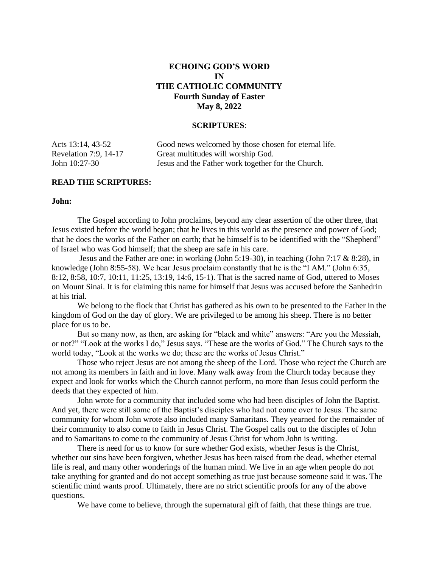# **ECHOING GOD'S WORD IN THE CATHOLIC COMMUNITY Fourth Sunday of Easter May 8, 2022**

#### **SCRIPTURES**:

| Acts 13:14, 43-52     | Good news welcomed by those chosen for eternal life. |
|-----------------------|------------------------------------------------------|
| Revelation 7:9, 14-17 | Great multitudes will worship God.                   |
| John 10:27-30         | Jesus and the Father work together for the Church.   |

# **READ THE SCRIPTURES:**

### **John:**

 The Gospel according to John proclaims, beyond any clear assertion of the other three, that Jesus existed before the world began; that he lives in this world as the presence and power of God; that he does the works of the Father on earth; that he himself is to be identified with the "Shepherd" of Israel who was God himself; that the sheep are safe in his care.

 Jesus and the Father are one: in working (John 5:19-30), in teaching (John 7:17 & 8:28), in knowledge (John 8:55-58). We hear Jesus proclaim constantly that he is the "I AM." (John 6:35, 8:12, 8:58, 10:7, 10:11, 11:25, 13:19, 14:6, 15-1). That is the sacred name of God, uttered to Moses on Mount Sinai. It is for claiming this name for himself that Jesus was accused before the Sanhedrin at his trial.

 We belong to the flock that Christ has gathered as his own to be presented to the Father in the kingdom of God on the day of glory. We are privileged to be among his sheep. There is no better place for us to be.

 But so many now, as then, are asking for "black and white" answers: "Are you the Messiah, or not?" "Look at the works I do," Jesus says. "These are the works of God." The Church says to the world today, "Look at the works we do; these are the works of Jesus Christ."

 Those who reject Jesus are not among the sheep of the Lord. Those who reject the Church are not among its members in faith and in love. Many walk away from the Church today because they expect and look for works which the Church cannot perform, no more than Jesus could perform the deeds that they expected of him.

 John wrote for a community that included some who had been disciples of John the Baptist. And yet, there were still some of the Baptist's disciples who had not come over to Jesus. The same community for whom John wrote also included many Samaritans. They yearned for the remainder of their community to also come to faith in Jesus Christ. The Gospel calls out to the disciples of John and to Samaritans to come to the community of Jesus Christ for whom John is writing.

 There is need for us to know for sure whether God exists, whether Jesus is the Christ, whether our sins have been forgiven, whether Jesus has been raised from the dead, whether eternal life is real, and many other wonderings of the human mind. We live in an age when people do not take anything for granted and do not accept something as true just because someone said it was. The scientific mind wants proof. Ultimately, there are no strict scientific proofs for any of the above questions.

We have come to believe, through the supernatural gift of faith, that these things are true.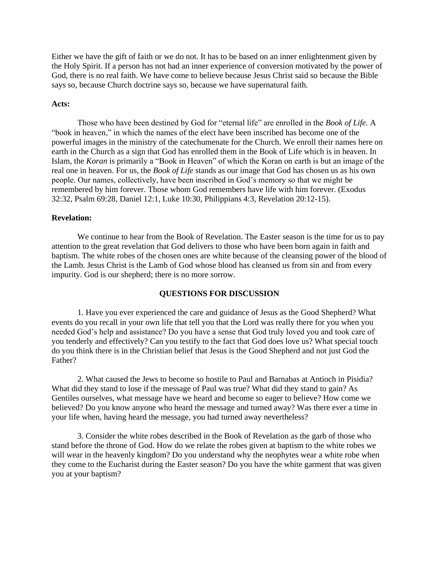Either we have the gift of faith or we do not. It has to be based on an inner enlightenment given by the Holy Spirit. If a person has not had an inner experience of conversion motivated by the power of God, there is no real faith. We have come to believe because Jesus Christ said so because the Bible says so, because Church doctrine says so, because we have supernatural faith.

### **Acts:**

 Those who have been destined by God for "eternal life" are enrolled in the *Book of Life.* A "book in heaven," in which the names of the elect have been inscribed has become one of the powerful images in the ministry of the catechumenate for the Church. We enroll their names here on earth in the Church as a sign that God has enrolled them in the Book of Life which is in heaven. In Islam, the *Koran* is primarily a "Book in Heaven" of which the Koran on earth is but an image of the real one in heaven. For us, the *Book of Life* stands as our image that God has chosen us as his own people. Our names, collectively, have been inscribed in God's memory so that we might be remembered by him forever. Those whom God remembers have life with him forever. (Exodus 32:32, Psalm 69:28, Daniel 12:1, Luke 10:30, Philippians 4:3, Revelation 20:12-15).

### **Revelation:**

 We continue to hear from the Book of Revelation. The Easter season is the time for us to pay attention to the great revelation that God delivers to those who have been born again in faith and baptism. The white robes of the chosen ones are white because of the cleansing power of the blood of the Lamb. Jesus Christ is the Lamb of God whose blood has cleansed us from sin and from every impurity. God is our shepherd; there is no more sorrow.

# **QUESTIONS FOR DISCUSSION**

 1. Have you ever experienced the care and guidance of Jesus as the Good Shepherd? What events do you recall in your own life that tell you that the Lord was really there for you when you needed God's help and assistance? Do you have a sense that God truly loved you and took care of you tenderly and effectively? Can you testify to the fact that God does love us? What special touch do you think there is in the Christian belief that Jesus is the Good Shepherd and not just God the Father?

 2. What caused the Jews to become so hostile to Paul and Barnabas at Antioch in Pisidia? What did they stand to lose if the message of Paul was true? What did they stand to gain? As Gentiles ourselves, what message have we heard and become so eager to believe? How come we believed? Do you know anyone who heard the message and turned away? Was there ever a time in your life when, having heard the message, you had turned away nevertheless?

 3. Consider the white robes described in the Book of Revelation as the garb of those who stand before the throne of God. How do we relate the robes given at baptism to the white robes we will wear in the heavenly kingdom? Do you understand why the neophytes wear a white robe when they come to the Eucharist during the Easter season? Do you have the white garment that was given you at your baptism?